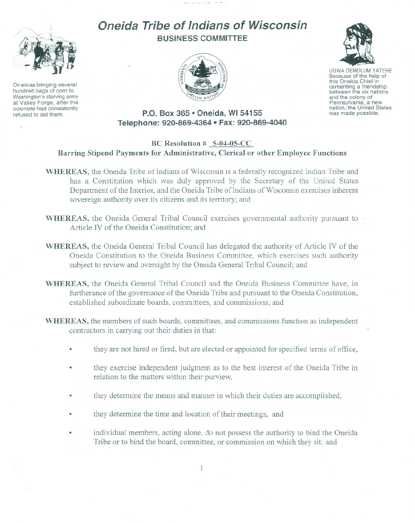

Oneidas bringing several hundred bags of corn to Washington's starving army at Valley Forge, after the colonists had consistently refused to aid them.

# **Oneida Tribe of Indians of Wisconsin BUSINESS COMMITTEE**





UGWA DEMOLUM YATEHE Because of the help of this Oneida Chief in between the six nations and the colony of<br>Pennsylvania, a new nation, the United States was made possible.

## **P.O. Box 365· Oneida, WI 54155 Telephone: 920-869-4364 • Fax: 920-869-4040**

### **BC Resolution # 5-04-05-CC Barring Stipend Payments for Administrative, Clerical or other Employee Functions**

- **WHEREAS,** the Oneida Tribe of Indians of Wisconsin is a federally recognized Indian Tribe and has a Constitution which was duly approved by the Secretary of the United States Department of the Interior, and the Oneida Tribe of Indians of Wisconsin exercises inherent sovereign authority over its citizens and its territory; and
- **WHEREAS,** the Oneida General Tribal Council exercises governmental authority pursuant to Article IV of the Oneida Constitution; and
- **WHEREAS,** the Oneida General Tribal Council has delegated the authority of Article IV of the Oneida Constitution to the Oneida Business Committee, which exercises such authority subject to review and oversight by the Oneida General Tribal Council; and
- **WHEREAS,** the Oneida General Tribal Council and the Oneida Business Committee have, in furtherance of the governance of the Oneida Tribe and pursuant to the Oneida Constitution, established subordinate boards, committees, and commissions; and
- **WHEREAS**, the members of such boards, committees, and commissions function as independent contractors in carrying out their duties in that
	- they are not hired or fired, but are elected or appointed for specified terms of office,
	- they exercise independent judgment as to the best interest of the Oneida Tribe in relation to the matters within their purview,
	- they determine the means and manner in which their duties are accomplished,
	- they determine the time and location of their meetings, and
	- individual members, acting alone, do not possess the authority to bind the Oneida Tribe or to bind the board, committee, or commission on which they sit; and